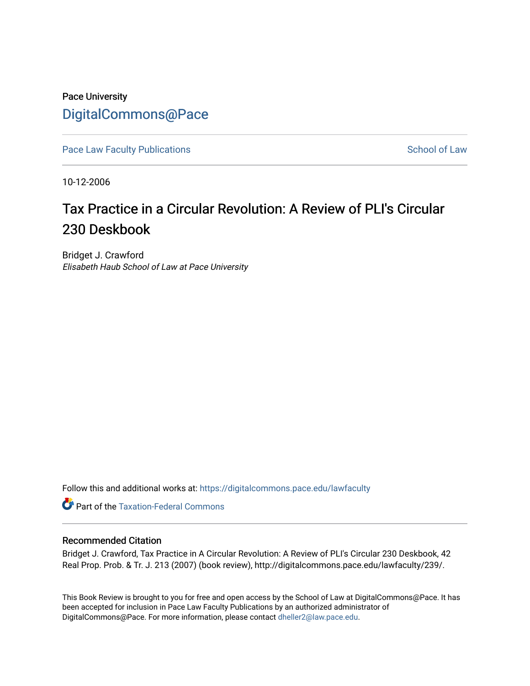## Pace University [DigitalCommons@Pace](https://digitalcommons.pace.edu/)

[Pace Law Faculty Publications](https://digitalcommons.pace.edu/lawfaculty) **School of Law** School of Law

10-12-2006

# Tax Practice in a Circular Revolution: A Review of PLI's Circular 230 Deskbook

Bridget J. Crawford Elisabeth Haub School of Law at Pace University

Follow this and additional works at: [https://digitalcommons.pace.edu/lawfaculty](https://digitalcommons.pace.edu/lawfaculty?utm_source=digitalcommons.pace.edu%2Flawfaculty%2F239&utm_medium=PDF&utm_campaign=PDFCoverPages)

**Part of the [Taxation-Federal Commons](http://network.bepress.com/hgg/discipline/881?utm_source=digitalcommons.pace.edu%2Flawfaculty%2F239&utm_medium=PDF&utm_campaign=PDFCoverPages)** 

#### Recommended Citation

Bridget J. Crawford, Tax Practice in A Circular Revolution: A Review of PLI's Circular 230 Deskbook, 42 Real Prop. Prob. & Tr. J. 213 (2007) (book review), http://digitalcommons.pace.edu/lawfaculty/239/.

This Book Review is brought to you for free and open access by the School of Law at DigitalCommons@Pace. It has been accepted for inclusion in Pace Law Faculty Publications by an authorized administrator of DigitalCommons@Pace. For more information, please contact [dheller2@law.pace.edu.](mailto:dheller2@law.pace.edu)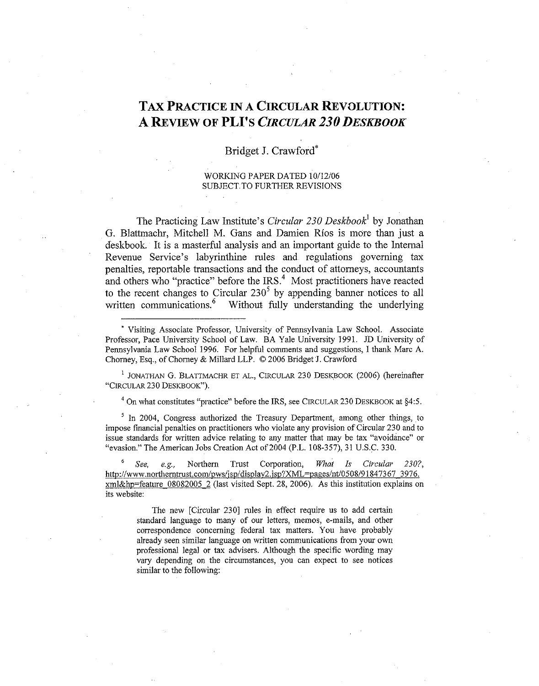### TAX PRACTICE IN A CIRCULAR REVOLUTION: **A REVIEW OF PLI'S CIRCULAR 230 DESKBOOK**

### Bridget J. Crawford\*

WORKING PAPER DATED 10/12/06 SUBJECT TO FURTHER REVISIONS

The Practicing Law Institute's Circular 230 Deskbook<sup>1</sup> by Jonathan G. Blattmachr, Mitchell M. Gans and Damien Rios is more than just a deslbook. It is a masterful analysis and an important guide to the Internal Revenue Service's labyrinthine rules and regulations governing tax penalties, reportable transactions and the conduct of attorneys, accountants and others who "practice" before the  $\text{IRS.}^4$ . Most practitioners have reacted to the recent changes to Circular  $230^5$  by appending banner notices to all written communications.<sup>6</sup> Without fully understanding the underlying Without fully understanding the underlying

**<sup>1</sup>**JONATHAN G. BLATTMACHR ET AL., CIRCULAR 230 DESKBOOK (2006) (hereinafter "CIRCULAR 230 DESKBOOK").

 $4$  On what constitutes "practice" before the IRS, see CIRCULAR 230 DESKBOOK at  $§4:5$ .

 $<sup>5</sup>$  In 2004, Congress authorized the Treasury Department, among other things, to</sup> impose financial penalties on practitioners who violate any provision of Circular 230 and to issue standards for written advice relating to any matter that may be tax "avoidance" or "evasion." The American Jobs Creation Act of 2004 (P.L. 108-357), 31 U.S.C. 330.

6 See, e.g., Northern Trust Corporation, What Is Circular 230?, http://www.northerntrust.com/pws/isp/display2.jsp?XML=pages/nt/0508/91847367 3976. xml&hp=feature 08082005 2 (last visited Sept. 28, 2006). As this institution explains on its website:

The new [Circular 230] rules in effect require us to add certain standard language to many of our letters, memos, e-mails, and other correspondence concerning federal tax matters. You have probably already seen similar language on written communications from your own professional legal or tax advisers. Although the specific wording may vary depending on the circumstances, you can expect to see notices similar to the following:

<sup>&#</sup>x27;Visiting Associate Professor, University of Pennsylvania Law School. Associate Professor, Pace University School of Law. BA Yale University 1991. JD University of Pennsylvania Law School 1996. For helpful comments and suggestions, I thank Marc A. Chorney, Esq., of Chorney & Millard LLP. O 2006 Bridget J. Crawford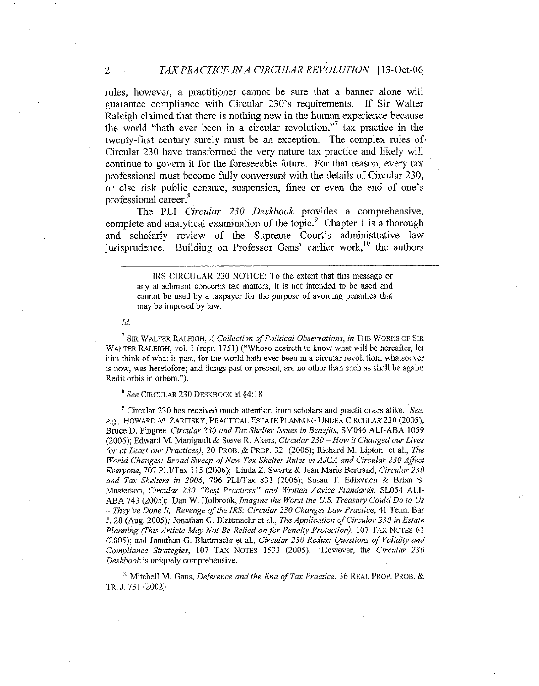#### 2 *TAX PRACTICE IN A CIRCULAR REVOLUTION* [13-Oct-06

rules, however, a practitioner cannot be sure that a banner alone will guarantee compliance with Circular 230's requirements. If Sir Walter Raleigh claimed that there is nothing new in the human experience because the world "hath ever been in a circular revolution,"<sup>7</sup> tax practice in the twenty-first century surely must be an exception. The complex rules of Circular 230 have transformed the very nature tax practice and likely will continue to govern it for the foreseeable future. For that reason, every tax professional must become fully conversant with the details of Circular 230, or else risk public censure, suspension, fines or even the end of one's professional career.'

The PLI *Circular* 230 *Deskbook* provides a comprehensive, complete and analytical examination of the topic.<sup>9</sup> Chapter 1 is a thorough and scholarly review of the Supreme Court's administrative law jurisprudence. Building on Professor Gans' earlier work,<sup>10</sup> the authors

> 1RS CIRCULAR 230 NOTICE: To the extent that this message or any attachment concerns tax matters, it is not intended to he used and cannot be used by a taxpayer for the purpose of avoiding penalties that may be imposed by law.

#### *Id.*

**<sup>7</sup>**SIR WALTER RALEIGH, *A Collection of Political Observations, in* THE WORKS OF SIR WALTER RALEIGH, vol. 1 (repr. 1751) ("Whoso desireth to know what will be hereafter, let him think of what is past, for the world hath ever been in a circular revolution; whatsoever is now, was heretofore; and things past or present, are no other than such as shall be again: Redit orbis in orbem.").

#### *See* CIRCULAR 230 DESKBOOK at \$4: 18

<sup>9</sup> Circular 230 has received much attention from scholars and practitioners alike. *See*, *e.g., HOWARD M. ZARITSKY, PRACTICAL ESTATE PLANNING UNDER CIRCULAR 230 (2005);* Bruce D. Pingree, *Circular 230 and Tax Shelter Issues in Benefits,* SM046 ALI-ABA 1059 (2006); Edward M. Manigault & Steve R. Akers, *Circular 230 -How it Changed our Lives (or at Least our Practices),* 20 PROB. & PROP. 32 (2006); Richard M. Lipton et al., *The World Changes: Broad Sweep of New Tax Shelter Rules in AJCA and Circular 230 Affect Everyone*, 707 PLI/Tax 115 (2006); Linda Z. Swartz & Jean Marie Bertrand, *Circular 230* and Tax Shelters in 2006, 706 PLI/Tax 831 (2006); Susan T. Edlavitch & Brian S. Masterson, *Circular 230 "Best Practices" and Written Advice Standards,* SL054 ALI-ABA 743 (2005); Dan W. Holhrook, *Imagine the Worst the US. Treasuy Could Do to Us*  - *They've Done It, Revenge of the IRS: Circular 230 Changes Law Practice,* 41 Tenn. Bar J. 28 (Ang. 2005); Jonathan G. Blattmachr et al., *The Application of Circular 230 in Estate Planning (This Article May Not Be Relied on for Penalty Protection), 107 TAX NOTES 61* (2005); and Jonathan G. Blattmachr et al., *Circular 230 Redw: Questions of Validity and Compliance Strategies,* 107 TAX NOTES 1533 (2005). However, the *Circular 230 Deskbook* is uniquely comprehensive.

<sup>10</sup> Mitchell M. Gans, *Deference and the End of Tax Practice*, 36 REAL PROP. PROB. & **TR.** J. 731 (2002).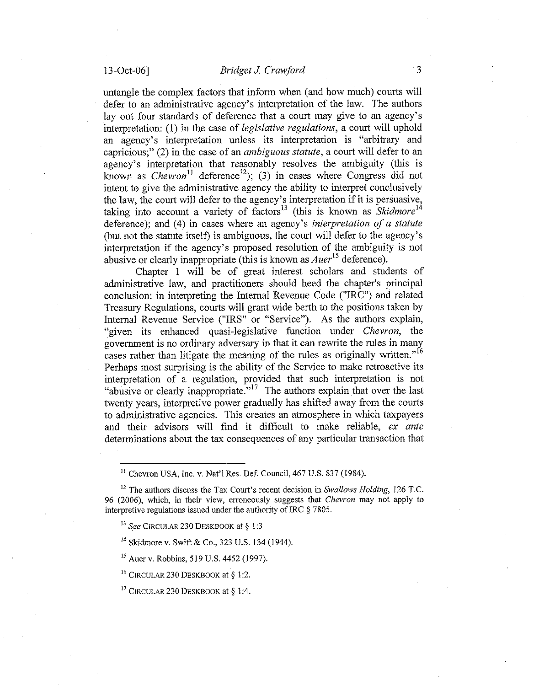untangle the complex factors that inform when (and how much) courts will defer to an administrative agency's interpretation of the law. The authors lay out four standards of deference that a court may give to an agency's interpretation: (1) in the case of legislative regulations, a court will uphold an agency's interpretation unless its interpretation is "arbitrary and capricious;" (2) in the case of an ambiguous statute, a court will defer to an agency's interpretation that reasonably resolves the ambiguity (this is known as Chevron<sup>11</sup> deference<sup>12</sup>); (3) in cases where Congress did not intent to give the administrative agency the ability to interpret conclusively the law, the court will defer to the agency's interpretation if it is persuasive, taking into account a variety of factors<sup>13</sup> (this is known as  $Skidmore<sup>14</sup>$ deference); and (4) in cases where an agency's interpretation of a statute (but not the statute itself) is ambiguous, the court will defer to the agency's interpretation if the agency's proposed resolution of the ambiguity is not abusive or clearly inappropriate (this is known as  $Auer<sup>15</sup>$  deference).

Chapter 1 will be of great interest scholars and students of administrative law, and practitioners should heed the chapter's principal conclusion: in interpreting the Internal Revenue Code ("IRC") and related Treasury Regulations, courts will grant wide berth to the positions taken by Internal Revenue Service ("IRS" or "Service"). As the authors explain, "given its enhanced quasi-legislative function under Chevron, the government is no ordinary adversary in that it can rewrite the rules in many cases rather than litigate the meaning of the rules as originally written."<sup>16</sup> Perhaps most surprising is the ability of the Service to make retroactive its interpretation of a regulation, provided that such interpretation is not "abusive or clearly inappropriate."<sup>17</sup> The authors explain that over the last twenty years, interpretive power gradually has shifted away from the courts to administrative agencies. This creates an atmosphere in which taxpayers and their advisors will find it difficult to make reliable, ex ante determinations about the tax consequences of any particular transaction that

**l4** Skidmore v. Swift & Co., 323 U.S. 134 (1944).

<sup>15</sup> Auer v. Robbins, 519 U.S. 4452 (1997).

<sup>16</sup> CIRCULAR 230 DESKBOOK at § 1:2.

<sup>17</sup> CIRCULAR 230 DESKBOOK at § 1:4.

 $<sup>11</sup>$  Chevron USA, Inc. v. Nat'l Res. Def. Council, 467 U.S. 837 (1984).</sup>

**l2** The authors discuss the Tax Court's recent decision in *Swallows Holding,* 126 T.C. 96 (2006), which, in their view, erroneously suggests that *Chevron* inay not apply to interpretive regulations issued under the authority of IRC \$ 7805.

 $^{13}$  *See* CIRCULAR 230 DESKBOOK at § 1:3.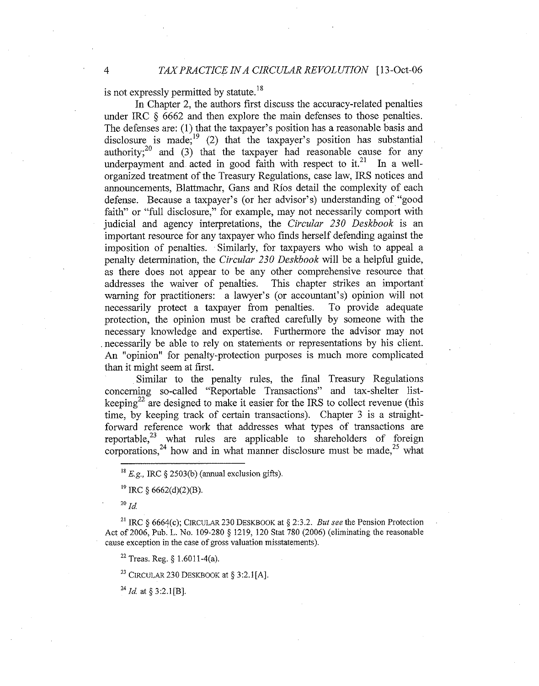is not expressly permitted by statute. $^{18}$ 

In Chapter 2, the authors first discuss the accuracy-related penalties under IRC *5* 6662 and then explore the main defenses to those penalties. The defenses are: (1) that the taxpayer's position has a reasonable basis and disclosure is made;<sup>19</sup> (2) that the taxpayer's position has substantial authority;<sup>20</sup> and (3) that the taxpayer had reasonable cause for any underpayment and acted in good faith with respect to it.<sup>21</sup> In a wellorganized treatment of the Treasury Regulations, case law, IRS notices and announcements, Blattmachr, Gans and Rios detail the complexity of each defense. Because a taxpayer's (or her advisor's) understanding of "good faith" or "full disclosure," for example, may not necessarily comport with judicial and agency interpretations, the *Circular 230 Deskbook* is an important resource for any taxpayer who finds herself defending against the imposition of penalties. Similarly, for taxpayers who wish to appeal a penalty determination, the *Circular 230 Deskbook* will be a helpful guide, as there does not appear to be any other comprehensive resource that addresses the waiver of penalties. This chapter strikes an important warning for practitioners: a lawyer's (or accountant's) opinion will not necessarily protect a taxpayer from penalties. To provide adequate necessarily protect a taxpayer from penalties. protection, the opinion must be crafted carefully by someone with the necessary knowledge and expertise. Furthermore the advisor may not necessarily be able to rely on statements or representations by his client. An "opinion" for penalty-protection purposes is much more complicated than it might seem at first.

Similar to the penalty rules, the final Treasury Regulations concerning so-called "Reportable Transactions" and tax-shelter listkeeping<sup>22</sup> are designed to make it easier for the IRS to collect revenue (this time, by keeping track of certain transactions). Chapter 3 is a straightforward reference work that addresses what types of transactions are reportable, $^{23}$  what rules are applicable to shareholders of foreign corporations,<sup>24</sup> how and in what manner disclosure must be made,<sup>25</sup> what

 $^{20}$  *Id.* 

<sup>21</sup> IRC  $\delta$  6664(c); CIRCULAR 230 DESKBOOK at  $\delta$  2:3.2. *But see the Pension Protection* Act of 2006, Pub. L. No. 109-280 *5* 1219, 120 Stat 780 (2006) (eliminating the reasonable cause exception in the case of gross valuation misstatements).

<sup>22</sup> Treas. Reg. § 1.6011-4(a).

<sup>23</sup> CIRCULAR 230 DESKBOOK at  $\S$  3:2.1 [A].

 $^{24}$  *Id.* at § 3:2.1[B].

<sup>&</sup>lt;sup>18</sup>  $E, g$ , IRC § 2503(b) (annual exclusion gifts).

**l9** IRC 5 6662(d)(2)(B).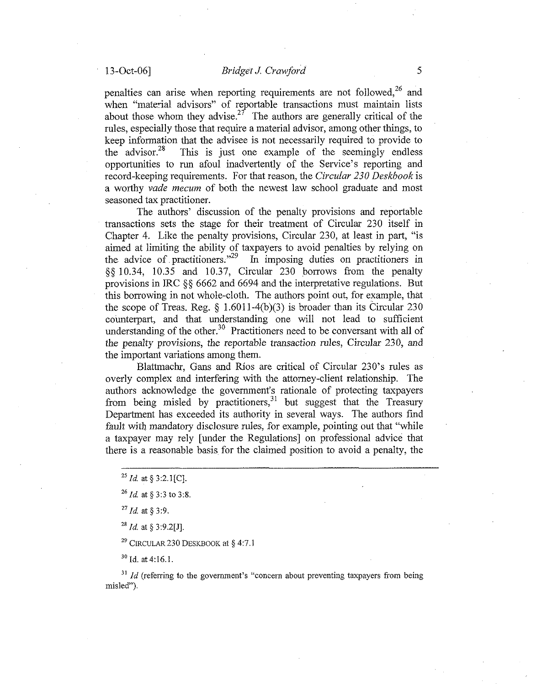penalties can arise when reporting requirements are not followed, $^{26}$  and when "material advisors" of reportable transactions must maintain lists about those whom they advise.<sup>27</sup> The authors are generally critical of the rules, especially those that require a material advisor, among other things, to keep information that the advisee is not necessarily required to provide to the advisor.<sup>28</sup> This is just one example of the seemingly endless This is just one example of the seemingly endless opportunities to run afoul inadvertently of the Service's reporting and record-keeping requirements. For that reason, the *Civcular* 230 *Deskbook* is a worthy *vade mecum* of both the newest law school graduate and most seasoned tax practitioner.

The authors' discussion of the penalty provisions and reportable transactions sets the stage for their treatment of Circular 230 itself in Chapter 4. Like the penalty provisions, Circular 230, at least in part, "is aimed at limiting the ability of taxpayers to avoid penalties by relying on the advice of practitioners."29 In imposing duties on practitioners in *\$5* 10.34, 10.35 and 10.37, Circular 230 borrows from the penalty provisions in IRC \$\$ 6662 and 6694 and the interpretative regulations. But this borrowing in not whole-cloth. The authors point out, for example, that the scope of Treas. Reg.  $\S$  1.6011-4(b)(3) is broader than its Circular 230 counterpart, and that understanding one will not lead to sufficient understanding of the other.<sup>30</sup> Practitioners need to be conversant with all of the penalty provisions, the reportable transaction rules, Circular 230, and the important variations among them.

Blattmachr, Gans and Rios are critical of Circular 230's rules as overly complex and interfering with the attorney-client relationship. The authors acknowledge the government's rationale of protecting taxpayers from being misled by practitioners,  $31$  but suggest that the Treasury Department has exceeded its authority in several ways. The authors find fault with mandatory disclosure rules, for example, pointing out that "while" a taxpayer may rely [under the Regulations] on professional advice that there is a reasonable basis for the claimed position to avoid a penalty, the

*"Id.* at *5* 3:9.

*<sup>28</sup>Id.* at *5* 3:9.2[J].

*<sup>29</sup>*CIRCULAR230 DESKBOOK at *5* 4:7.1

**<sup>30</sup>**id. at4:16.1.

 $1/31$  *Id* (referring to the government's "concern about preventing taxpayers from being misled").

*<sup>25</sup>id.* at *5* 3:2.1[C].

*<sup>26</sup>id.* at *5* 3:3 to 3%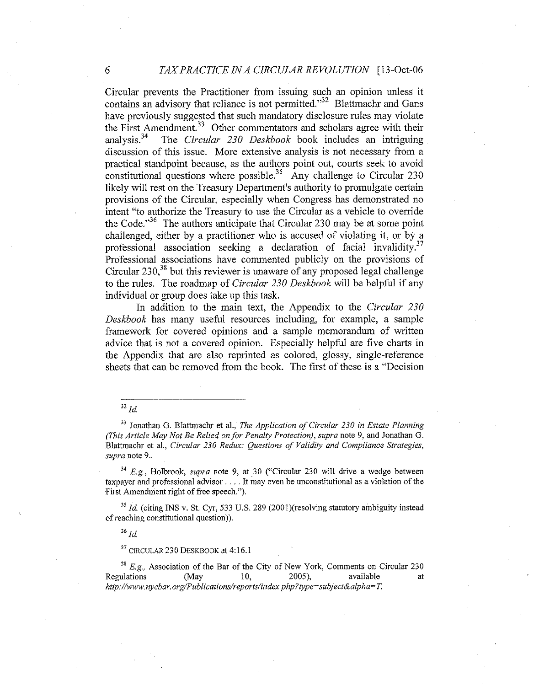Circular prevents the Practitioner from issuing such an opinion unless it contains an advisory that reliance is not permitted." $^{32}$  Blettmachr and Gans have previously suggested that such mandatory disclosure rules may violate the First Amendment.<sup>33</sup> Other commentators and scholars agree with their analysis.<sup>34</sup> The *Circular 230 Deskbook* book includes an intriguing The *Circular 230 Deskbook* book includes an intriguing discussion of this issue. More extensive analysis is not necessary from a practical standpoint because, as the authors point out, courts seek to avoid constitutional questions where possible.<sup>35</sup> Any challenge to Circular 230 likely will rest on the Treasury Department's authority to promulgate certain provisions of the Circular, especially when Congress has demonstrated no intent "to authorize the Treasury to use the Circular as a vehicle to override the Code."<sup>36</sup> The authors anticipate that Circular 230 may be at some point challenged, either by a practitioner who is accused of violating it, or by a professional association seeking a declaration of facial invalidity.<sup>37</sup> Professional associations have commented publicly on the provisions of Circular  $230<sup>38</sup>$  but this reviewer is unaware of any proposed legal challenge to the rules. The roadmap of *Circular 230 Deskbook* will be helpful if any individual or group does take up this task.

In addition to the main text, the Appendix to the *Circular 230 Deskbook* has many useful resources including, for example, a sample framework for covered opinions and a sample memorandum of written advice that is not a covered opinion. Especially helpful are five charts in the Appendix that are also reprinted as colored, glossy, single-reference sheets that can be removed from the book. The first of these is a "Decision

### $32$  Id.

<sup>33</sup> Jonathan G. Blattmachr et al., *The Application of Circular 230 in Estate Planning (This Article May Not Be Relied on for Penalty Protection), supra* note 9, and Jonathan G. Blattmachr et al., *Circular* 230 *Redwc: Questions of Validity and Compliance Strategies, supra* note 9..

**<sup>34</sup>***E,g.,* Holbrook, *supra* note 9, at 30 ("Circular 230 will drive a wedge between taxpayer and professional advisor. . . . It may even be unconstitutional as a violation of the First Amendment right of free speech.").

<sup>35</sup> *Id.* (citing INS v. St. Cyr, 533 U.S. 289 (2001)(resolving statutory ambiguity instead of reaching constitutional question)).

 $36$   $Id$ 

**37 CIRCULAR** 230 DESKBOOKat 4:16.1

**<sup>38</sup>***E.g,* Association of the Bar of the City of New York, Comments on Circular 230 Regulations (May 10, 2005), available at http://www.nycbar.org/Publications/reports/index.php?type=subject&alpha=T.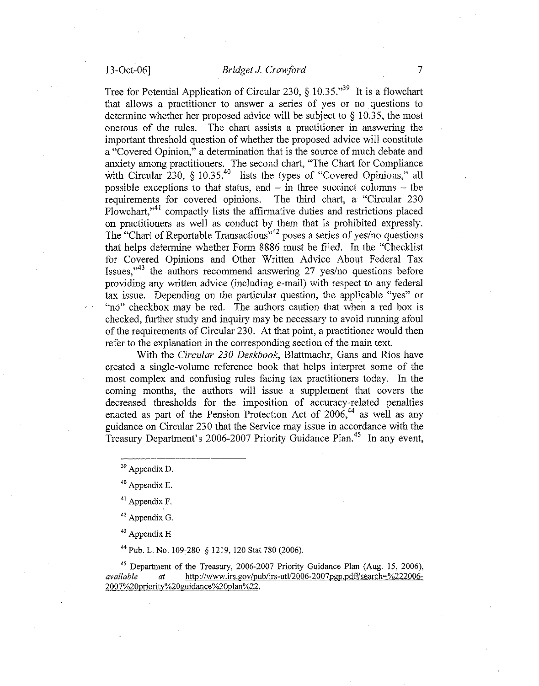Tree for Potential Application of Circular 230,  $\frac{10.35}{10.35}$  It is a flowchart that allows a practitioner to answer a series of yes or no questions to determine whether her proposed advice will be subject to *5* 10.35, the most onerous of the rules. The chart assists a practitioner in answering the important threshold question of whether the proposed advice will constitute a "Covered Opinion," a determination that is the source of much debate and anxiety among practitioners. The second chart, "The Chart for Compliance with Circular 230, § 10.35,<sup>40</sup> lists the types of "Covered Opinions," all possible exceptions to that status, and  $-$  in three succinct columns  $-$  the requirements for covered opinions. The third chart, a "Circular 230 Flowchart,"<sup>41</sup> compactly lists the affirmative duties and restrictions placed on practitioners as well as conduct by them that is prohibited expressly. The "Chart of Reportable Transactions"<sup>42</sup> poses a series of yes/no questions that helps determine whether Form 8886 must be filed. In the "Checklist for Covered Opinions and Other Written Advice About Federal Tax Issues."<sup>43</sup> the authors recommend answering 27 yes/no questions before providing any written advice (including e-mail) with respect to any federal tax issue. Depending on the particular question, the applicable "yes" or "no" checkbox may be red. The authors caution that when a red box is checked, further study and inquiry may be necessary to avoid running afoul of the requirements of Circular 230. At that point, a practitioner would then refer to the explanation in the corresponding section of the main text.

With the *Circular* 230 *Deskbook,* Blattmachr, Gans and Rios have created a single-volume reference book that helps interpret some of the most complex and confusing rules facing tax practitioners today. In the coming months, the authors will issue a supplement that covers the decreased thresholds for the imposition of accuracy-related penalties enacted as part of the Pension Protection Act of  $2006$ <sup>44</sup> as well as any guidance on Circular 230 that the Service may issue in accordance with the Treasury Department's 2006-2007 Priority Guidance Plan.<sup>45</sup> In any event,

 $43$  Appendix H

<sup>44</sup> Pub. L. No. 109-280 § 1219, 120 Stat 780 (2006).

**<sup>45</sup>**Department of the Treasury, **2006-2007** Priority Guidance Plan **(Aug. 15, 2006),**  *available* at http://www.irs.gov/pub/irs-utl/2006-2007pgp.pdf#search=%222006-2007%20priority%20guidance%20plan%22.

**<sup>39</sup>**Appendix D.

**<sup>40</sup>**Appendix E.

<sup>&</sup>lt;sup>41</sup> Appendix F.

 $42$  Appendix G.